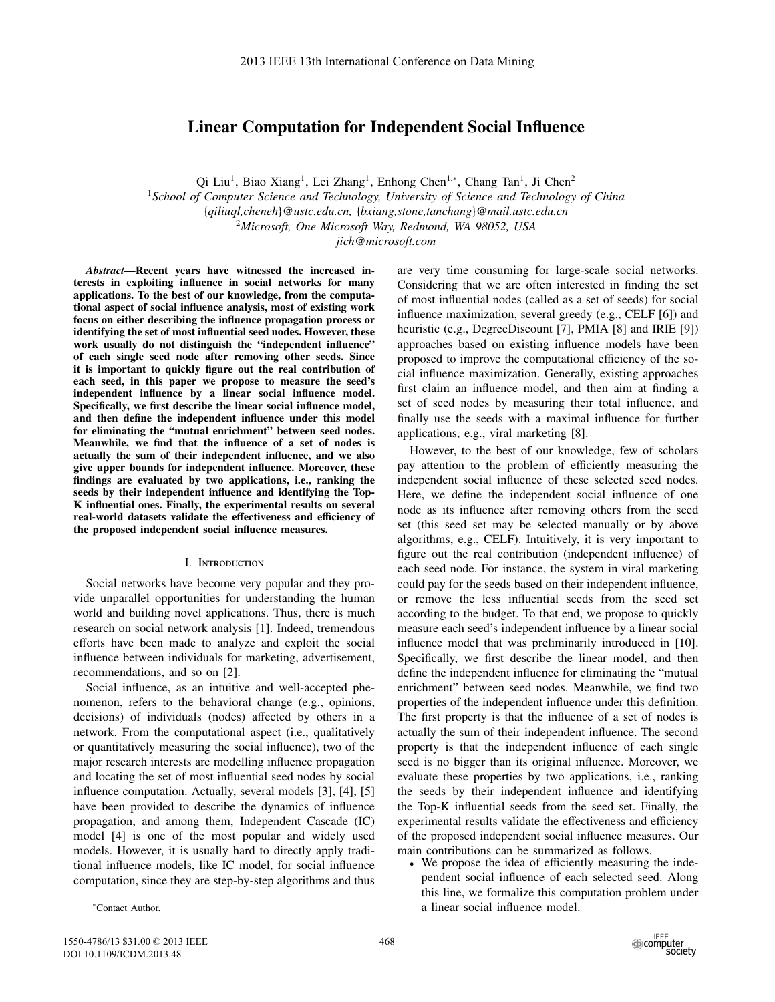# **Linear Computation for Independent Social Influence**

Qi Liu<sup>1</sup>, Biao Xiang<sup>1</sup>, Lei Zhang<sup>1</sup>, Enhong Chen<sup>1,∗</sup>, Chang Tan<sup>1</sup>, Ji Chen<sup>2</sup>

<sup>1</sup>*School of Computer Science and Technology, University of Science and Technology of China* {*qiliuql,cheneh*}*@ustc.edu.cn,* {*bxiang,stone,tanchang*}*@mail.ustc.edu.cn*

<sup>2</sup>*Microsoft, One Microsoft Way, Redmond, WA 98052, USA*

*jich@microsoft.com*

*Abstract***—Recent years have witnessed the increased interests in exploiting influence in social networks for many applications. To the best of our knowledge, from the computational aspect of social influence analysis, most of existing work focus on either describing the influence propagation process or identifying the set of most influential seed nodes. However, these work usually do not distinguish the "independent influence" of each single seed node after removing other seeds. Since it is important to quickly figure out the real contribution of each seed, in this paper we propose to measure the seed's independent influence by a linear social influence model. Specifically, we first describe the linear social influence model, and then define the independent influence under this model for eliminating the "mutual enrichment" between seed nodes. Meanwhile, we find that the influence of a set of nodes is actually the sum of their independent influence, and we also give upper bounds for independent influence. Moreover, these findings are evaluated by two applications, i.e., ranking the seeds by their independent influence and identifying the Top-K influential ones. Finally, the experimental results on several real-world datasets validate the e**ff**ectiveness and e**ffi**ciency of the proposed independent social influence measures.**

### I. Introduction

Social networks have become very popular and they provide unparallel opportunities for understanding the human world and building novel applications. Thus, there is much research on social network analysis [1]. Indeed, tremendous efforts have been made to analyze and exploit the social influence between individuals for marketing, advertisement, recommendations, and so on [2].

Social influence, as an intuitive and well-accepted phenomenon, refers to the behavioral change (e.g., opinions, decisions) of individuals (nodes) affected by others in a network. From the computational aspect (i.e., qualitatively or quantitatively measuring the social influence), two of the major research interests are modelling influence propagation and locating the set of most influential seed nodes by social influence computation. Actually, several models [3], [4], [5] have been provided to describe the dynamics of influence propagation, and among them, Independent Cascade (IC) model [4] is one of the most popular and widely used models. However, it is usually hard to directly apply traditional influence models, like IC model, for social influence computation, since they are step-by-step algorithms and thus

are very time consuming for large-scale social networks. Considering that we are often interested in finding the set of most influential nodes (called as a set of seeds) for social influence maximization, several greedy (e.g., CELF [6]) and heuristic (e.g., DegreeDiscount [7], PMIA [8] and IRIE [9]) approaches based on existing influence models have been proposed to improve the computational efficiency of the social influence maximization. Generally, existing approaches first claim an influence model, and then aim at finding a set of seed nodes by measuring their total influence, and finally use the seeds with a maximal influence for further applications, e.g., viral marketing [8].

However, to the best of our knowledge, few of scholars pay attention to the problem of efficiently measuring the independent social influence of these selected seed nodes. Here, we define the independent social influence of one node as its influence after removing others from the seed set (this seed set may be selected manually or by above algorithms, e.g., CELF). Intuitively, it is very important to figure out the real contribution (independent influence) of each seed node. For instance, the system in viral marketing could pay for the seeds based on their independent influence, or remove the less influential seeds from the seed set according to the budget. To that end, we propose to quickly measure each seed's independent influence by a linear social influence model that was preliminarily introduced in [10]. Specifically, we first describe the linear model, and then define the independent influence for eliminating the "mutual enrichment" between seed nodes. Meanwhile, we find two properties of the independent influence under this definition. The first property is that the influence of a set of nodes is actually the sum of their independent influence. The second property is that the independent influence of each single seed is no bigger than its original influence. Moreover, we evaluate these properties by two applications, i.e., ranking the seeds by their independent influence and identifying the Top-K influential seeds from the seed set. Finally, the experimental results validate the effectiveness and efficiency of the proposed independent social influence measures. Our main contributions can be summarized as follows.

• We propose the idea of efficiently measuring the independent social influence of each selected seed. Along this line, we formalize this computation problem under a linear social influence model.

<sup>∗</sup>Contact Author.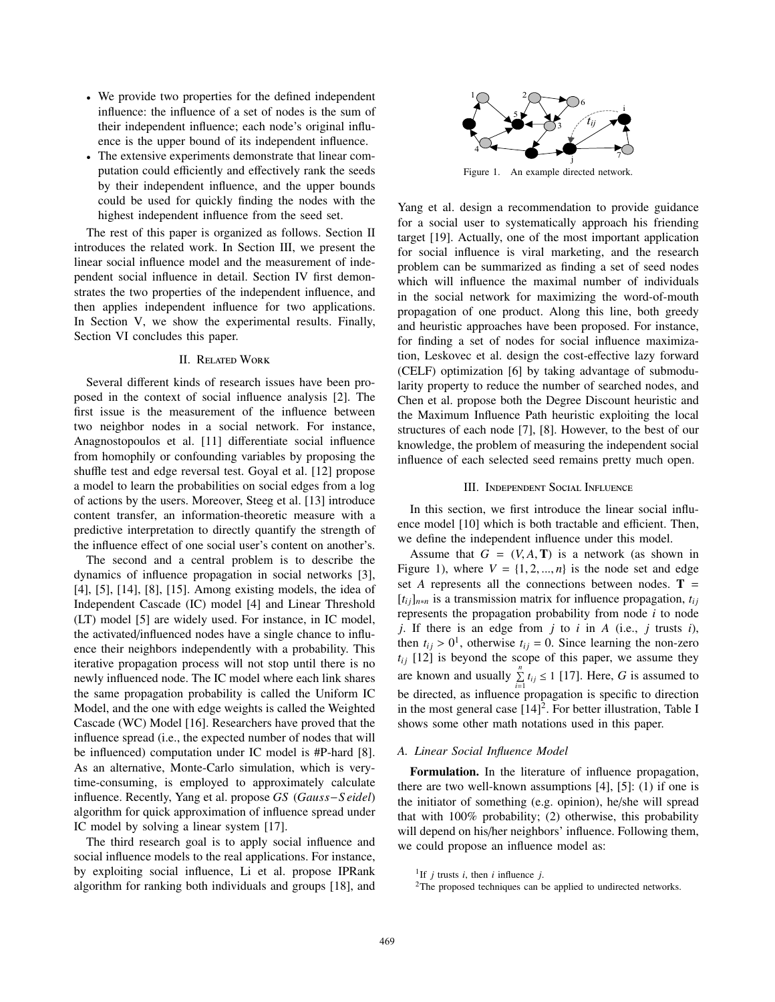- We provide two properties for the defined independent influence: the influence of a set of nodes is the sum of their independent influence; each node's original influence is the upper bound of its independent influence.
- The extensive experiments demonstrate that linear computation could efficiently and effectively rank the seeds by their independent influence, and the upper bounds could be used for quickly finding the nodes with the highest independent influence from the seed set.

The rest of this paper is organized as follows. Section II introduces the related work. In Section III, we present the linear social influence model and the measurement of independent social influence in detail. Section IV first demonstrates the two properties of the independent influence, and then applies independent influence for two applications. In Section V, we show the experimental results. Finally, Section VI concludes this paper.

#### II. Related Work

Several different kinds of research issues have been proposed in the context of social influence analysis [2]. The first issue is the measurement of the influence between two neighbor nodes in a social network. For instance, Anagnostopoulos et al. [11] differentiate social influence from homophily or confounding variables by proposing the shuffle test and edge reversal test. Goyal et al. [12] propose a model to learn the probabilities on social edges from a log of actions by the users. Moreover, Steeg et al. [13] introduce content transfer, an information-theoretic measure with a predictive interpretation to directly quantify the strength of the influence effect of one social user's content on another's.

The second and a central problem is to describe the dynamics of influence propagation in social networks [3], [4], [5], [14], [8], [15]. Among existing models, the idea of Independent Cascade (IC) model [4] and Linear Threshold (LT) model [5] are widely used. For instance, in IC model, the activated/influenced nodes have a single chance to influence their neighbors independently with a probability. This iterative propagation process will not stop until there is no newly influenced node. The IC model where each link shares the same propagation probability is called the Uniform IC Model, and the one with edge weights is called the Weighted Cascade (WC) Model [16]. Researchers have proved that the influence spread (i.e., the expected number of nodes that will be influenced) computation under IC model is #P-hard [8]. As an alternative, Monte-Carlo simulation, which is verytime-consuming, is employed to approximately calculate influence. Recently, Yang et al. propose *GS* (*Gauss*−*S eidel*) algorithm for quick approximation of influence spread under IC model by solving a linear system [17].

The third research goal is to apply social influence and social influence models to the real applications. For instance, by exploiting social influence, Li et al. propose IPRank algorithm for ranking both individuals and groups [18], and



Yang et al. design a recommendation to provide guidance for a social user to systematically approach his friending target [19]. Actually, one of the most important application for social influence is viral marketing, and the research problem can be summarized as finding a set of seed nodes which will influence the maximal number of individuals in the social network for maximizing the word-of-mouth propagation of one product. Along this line, both greedy and heuristic approaches have been proposed. For instance, for finding a set of nodes for social influence maximization, Leskovec et al. design the cost-effective lazy forward (CELF) optimization [6] by taking advantage of submodularity property to reduce the number of searched nodes, and Chen et al. propose both the Degree Discount heuristic and the Maximum Influence Path heuristic exploiting the local structures of each node [7], [8]. However, to the best of our knowledge, the problem of measuring the independent social influence of each selected seed remains pretty much open.

### III. Independent Social Influence

In this section, we first introduce the linear social influence model [10] which is both tractable and efficient. Then, we define the independent influence under this model.

Assume that  $G = (V, A, T)$  is a network (as shown in Figure 1), where  $V = \{1, 2, ..., n\}$  is the node set and edge set *A* represents all the connections between nodes.  $T =$  $[t_{ij}]_{n*n}$  is a transmission matrix for influence propagation,  $t_{ij}$ represents the propagation probability from node *i* to node *j*. If there is an edge from *j* to *i* in *A* (i.e., *j* trusts *i*), then  $t_{ij} > 0^1$ , otherwise  $t_{ij} = 0$ . Since learning the non-zero  $t_{ij}$  [12] is beyond the scope of this paper, we assume they are known and usually  $\sum_{i}^{n} t_{ij} \le 1$  [17]. Here, *G* is assumed to be directed, as influence propagation is specific to direction in the most general case  $[14]<sup>2</sup>$ . For better illustration, Table I shows some other math notations used in this paper.

### *A. Linear Social Influence Model*

**Formulation.** In the literature of influence propagation, there are two well-known assumptions  $[4]$ ,  $[5]$ :  $(1)$  if one is the initiator of something (e.g. opinion), he/she will spread that with 100% probability; (2) otherwise, this probability will depend on his/her neighbors' influence. Following them, we could propose an influence model as:

<sup>&</sup>lt;sup>1</sup>If *j* trusts *i*, then *i* influence *j*.

 $2$ The proposed techniques can be applied to undirected networks.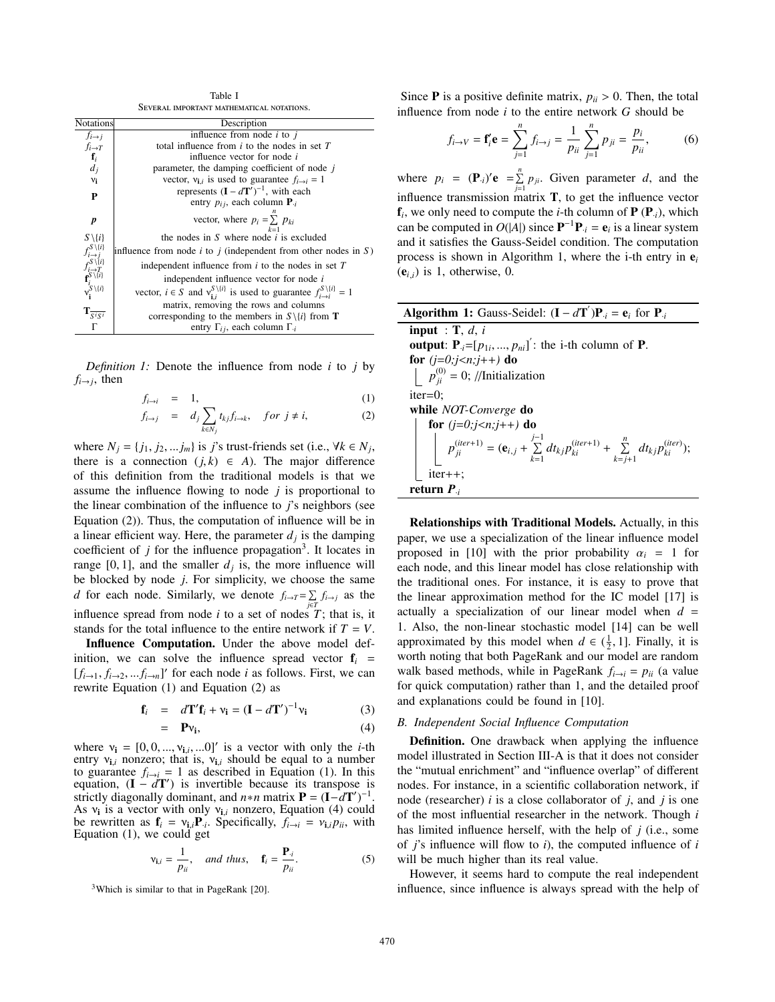Table I Several important mathematical notations.

| <b>Notations</b>                                                                                                                                                                                                                                                                                                                                                                         | Description                                                                                                   |
|------------------------------------------------------------------------------------------------------------------------------------------------------------------------------------------------------------------------------------------------------------------------------------------------------------------------------------------------------------------------------------------|---------------------------------------------------------------------------------------------------------------|
| $f_{i\rightarrow j}$                                                                                                                                                                                                                                                                                                                                                                     | influence from node $i$ to $j$                                                                                |
| $f_{i\rightarrow T}$                                                                                                                                                                                                                                                                                                                                                                     | total influence from $i$ to the nodes in set $T$                                                              |
|                                                                                                                                                                                                                                                                                                                                                                                          | influence vector for node <i>i</i>                                                                            |
| $\int_{d_j}$                                                                                                                                                                                                                                                                                                                                                                             | parameter, the damping coefficient of node j                                                                  |
| $v_i$                                                                                                                                                                                                                                                                                                                                                                                    | vector, $v_{i,i}$ is used to guarantee $f_{i\rightarrow i} = 1$                                               |
| P                                                                                                                                                                                                                                                                                                                                                                                        | represents $(I - dT')^{-1}$ , with each                                                                       |
|                                                                                                                                                                                                                                                                                                                                                                                          | entry $p_{ij}$ , each column $P_{ij}$                                                                         |
| $\pmb{p}$                                                                                                                                                                                                                                                                                                                                                                                | vector, where $p_i = \sum p_{ki}$                                                                             |
| $S \setminus \{i\}$                                                                                                                                                                                                                                                                                                                                                                      | the nodes in S where node $i$ is excluded                                                                     |
|                                                                                                                                                                                                                                                                                                                                                                                          | influence from node <i>i</i> to <i>j</i> (independent from other nodes in $S$ )                               |
|                                                                                                                                                                                                                                                                                                                                                                                          | independent influence from $i$ to the nodes in set $T$                                                        |
|                                                                                                                                                                                                                                                                                                                                                                                          | independent influence vector for node i                                                                       |
| $\begin{array}{c}\n\begin{array}{c}\n\chi(\mathfrak{c}) \\ \chi(\mathfrak{c})\n\end{array} \\ \begin{array}{c}\n\chi(\mathfrak{c}) \\ \chi(\mathfrak{c})\n\end{array} \\ \begin{array}{c}\n\chi(\mathfrak{c}) \\ \chi(\mathfrak{c})\n\end{array} \\ \begin{array}{c}\n\chi(\mathfrak{c}) \\ \chi(\mathfrak{c})\n\end{array} \\ \chi^{\mathcal{S}}\setminus\{\mathfrak{c}\}\n\end{array}$ | vector, $i \in S$ and $v_{1i}^{S \setminus \{i\}}$ is used to guarantee $f_{i \to i}^{S \setminus \{i\}} = 1$ |
|                                                                                                                                                                                                                                                                                                                                                                                          | matrix, removing the rows and columns                                                                         |
| $\mathbf{T}_{\overline{S^{i}S^{i}}}$                                                                                                                                                                                                                                                                                                                                                     | corresponding to the members in $S \setminus \{i\}$ from <b>T</b>                                             |
| Г                                                                                                                                                                                                                                                                                                                                                                                        | entry $\Gamma_{ii}$ , each column $\Gamma_{ii}$                                                               |

*Definition 1:* Denote the influence from node *i* to *j* by  $f_{i\rightarrow j}$ , then

$$
f_{i \to i} = 1, \tag{1}
$$

$$
f_{i \to j} = d_j \sum_{k \in N_j} t_{kj} f_{i \to k}, \quad \text{for } j \neq i,
$$
 (2)

where  $N_j = \{j_1, j_2, \ldots, j_m\}$  is *j*'s trust-friends set (i.e.,  $\forall k \in N_j$ , there is a connection  $(j, k) \in A$ ). The major difference of this definition from the traditional models is that we assume the influence flowing to node *j* is proportional to the linear combination of the influence to *j*'s neighbors (see Equation (2)). Thus, the computation of influence will be in a linear efficient way. Here, the parameter  $d_i$  is the damping coefficient of  $j$  for the influence propagation<sup>3</sup>. It locates in range [0, 1], and the smaller  $d_i$  is, the more influence will be blocked by node *j*. For simplicity, we choose the same *d* for each node. Similarly, we denote  $f_{i\rightarrow T} = \sum$  $\sum_{j \in T} f_{i \to j}$  as the influence spread from node *i* to a set of nodes *T*; that is, it stands for the total influence to the entire network if  $T = V$ .

**Influence Computation.** Under the above model definition, we can solve the influence spread vector  $f_i$  =  $[f_{i\rightarrow 1}, f_{i\rightarrow 2},...f_{i\rightarrow n}]'$  for each node *i* as follows. First, we can rewrite Equation (1) and Equation (2) as

$$
\mathbf{f}_i = d\mathbf{T}' \mathbf{f}_i + \mathbf{v}_i = (\mathbf{I} - d\mathbf{T}')^{-1} \mathbf{v}_i
$$
 (3)

$$
= \mathbf{P} \mathbf{v_i}, \tag{4}
$$

where  $v_i = [0, 0, ..., v_{i,i}, ...0]'$  is a vector with only the *i*-th entry  $v_{i,i}$  nonzero; that is,  $v_{i,i}$  should be equal to a number to guarantee  $f_{i\to i} = 1$  as described in Equation (1). In this equation,  $(I - dT')$  is invertible because its transpose is strictly diagonally dominant, and  $n * n$  matrix  $P = (I - dT')^{-1}$ . As ν**<sup>i</sup>** is a vector with only ν**i**,*<sup>i</sup>* nonzero, Equation (4) could be rewritten as  $\mathbf{f}_i = v_{i,i} \mathbf{P}_{i}$ . Specifically,  $f_{i \to i} = v_{i,i} p_{ii}$ , with Equation (1), we could get

$$
\mathbf{v}_{\mathbf{i},i} = \frac{1}{p_{ii}}, \quad \text{and thus,} \quad \mathbf{f}_i = \frac{\mathbf{P}_{\cdot i}}{p_{ii}}.\tag{5}
$$

 $3$ Which is similar to that in PageRank [20].

Since **P** is a positive definite matrix,  $p_{ii} > 0$ . Then, the total influence from node *i* to the entire network *G* should be

$$
f_{i \to V} = \mathbf{f}'_i \mathbf{e} = \sum_{j=1}^n f_{i \to j} = \frac{1}{p_{ii}} \sum_{j=1}^n p_{ji} = \frac{p_i}{p_{ii}},
$$
 (6)

where  $p_i = (\mathbf{P}_{i})' \mathbf{e} = \sum_{i=1}^{n}$  $\sum_{j=1}^{n} p_{ji}$ . Given parameter *d*, and the influence transmission matrix **T**, to get the influence vector  $f_i$ , we only need to compute the *i*-th column of  $P(P_i)$ , which can be computed in  $O(|A|)$  since  $\mathbf{P}^{-1}\mathbf{P}_{i} = \mathbf{e}_{i}$  is a linear system and it satisfies the Gauss-Seidel condition. The computation process is shown in Algorithm 1, where the i-th entry in  $e_i$  $(e_{i,j})$  is 1, otherwise, 0.

| <b>Algorithm 1:</b> Gauss-Seidel: $(I - dT')P_i = e_i$ for $P_i$                                                                                                                        |
|-----------------------------------------------------------------------------------------------------------------------------------------------------------------------------------------|
| <b>input</b> : $\mathbf{T}, d, i$                                                                                                                                                       |
| output: $\mathbf{P}_{i}=[p_{1i},,p_{ni}]$ : the i-th column of <b>P</b> .                                                                                                               |
| for $(j=0; j < n; j++)$ do                                                                                                                                                              |
| $\left  \rho_{ii}^{(0)} = 0; \right /\text{Initialization}$                                                                                                                             |
| $iter=0$ :                                                                                                                                                                              |
| while NOT-Converge do                                                                                                                                                                   |
|                                                                                                                                                                                         |
| <b>for</b> $(j=0;j < n;j++$ ) <b>do</b><br>$p_{ji}^{(iter+1)} = (\mathbf{e}_{i,j} + \sum_{k=1}^{j-1} dt_{kj} p_{ki}^{(iter+1)} + \sum_{k=j+1}^{n} dt_{kj} p_{ki}^{(iter)});$<br>iter++; |
|                                                                                                                                                                                         |
| return $P_{ij}$                                                                                                                                                                         |

**Relationships with Traditional Models.** Actually, in this paper, we use a specialization of the linear influence model proposed in [10] with the prior probability  $\alpha_i = 1$  for each node, and this linear model has close relationship with the traditional ones. For instance, it is easy to prove that the linear approximation method for the IC model [17] is actually a specialization of our linear model when  $d =$ 1. Also, the non-linear stochastic model [14] can be well approximated by this model when  $d \in (\frac{1}{2}, 1]$ . Finally, it is worth noting that both PageRank and our model are random walk based methods, while in PageRank  $f_{i\rightarrow i} = p_{ii}$  (a value for quick computation) rather than 1, and the detailed proof and explanations could be found in [10].

### *B. Independent Social Influence Computation*

**Definition.** One drawback when applying the influence model illustrated in Section III-A is that it does not consider the "mutual enrichment" and "influence overlap" of different nodes. For instance, in a scientific collaboration network, if node (researcher) *i* is a close collaborator of *j*, and *j* is one of the most influential researcher in the network. Though *i* has limited influence herself, with the help of *j* (i.e., some of *j*'s influence will flow to *i*), the computed influence of *i* will be much higher than its real value.

However, it seems hard to compute the real independent influence, since influence is always spread with the help of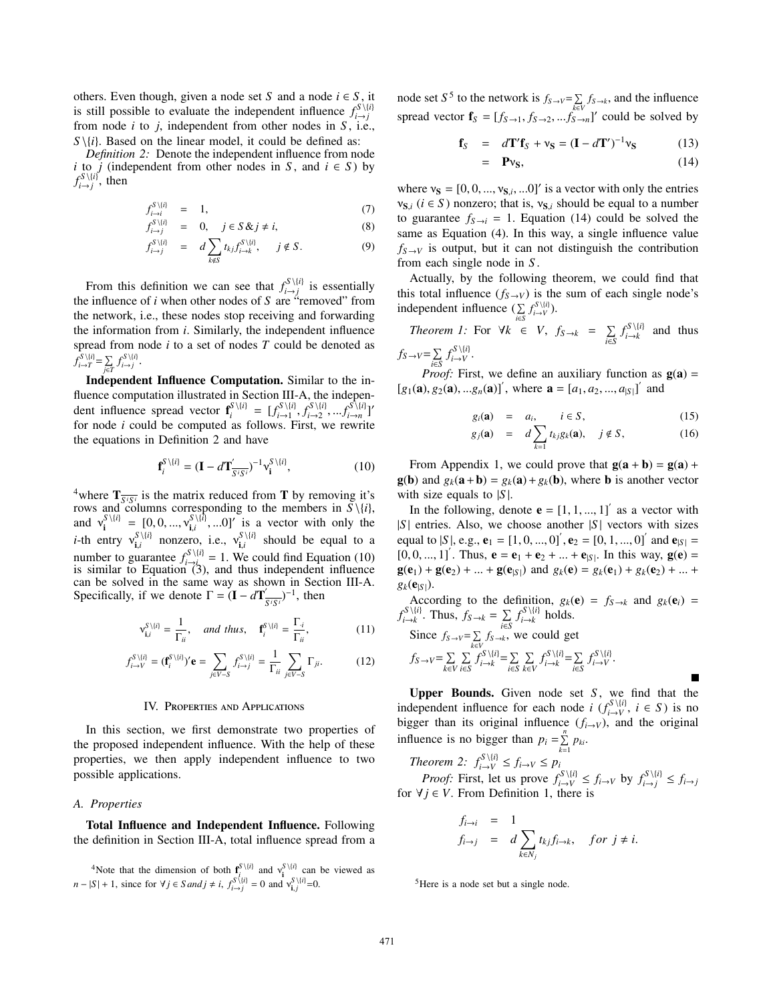others. Even though, given a node set *S* and a node  $i \in S$ , it is still possible to evaluate the independent influence  $f_{i \to j}^{S \setminus \{i\}}$ from node *i* to *j*, independent from other nodes in *S* , i.e.,  $S \setminus \{i\}$ . Based on the linear model, it could be defined as:

*Definition 2:* Denote the independent influence from node *i* to *j* (independent from other nodes in *S*, and  $i \in S$ ) by  $f_{i \to j}^{S \setminus \{i\}}$ , then

$$
f_{i \to i}^{S \setminus \{i\}} = 1, \tag{7}
$$

$$
f_{i \to j}^{S \setminus \{i\}} = 0, \quad j \in S \& j \neq i,
$$
 (8)

$$
f_{i \to j}^{S \setminus \{i\}} = d \sum_{k \notin S} t_{kj} f_{i \to k}^{S \setminus \{i\}}, \quad j \notin S. \tag{9}
$$

From this definition we can see that  $f_{i \to j}^{S \setminus \{i\}}$  is essentially the influence of *i* when other nodes of *S* are "removed" from the network, i.e., these nodes stop receiving and forwarding the information from *i*. Similarly, the independent influence spread from node *i* to a set of nodes *T* could be denoted as  $f_{i \to T}^{S \setminus \{i\}} = \sum_{i \in I}$  $\sum_{j\in T} f_{i\to j}^{S\setminus\{i\}}$ .

**Independent Influence Computation.** Similar to the influence computation illustrated in Section III-A, the independent influence spread vector  $\mathbf{f}_{i}^{S \setminus \{i\}} = [f_{i \to 1}^{S \setminus \{i\}}, f_{i \to 2}^{S \setminus \{i\}}, \dots, f_{i \to n}^{S \setminus \{i\}}]^T$ for node *i* could be computed as follows. First, we rewrite the equations in Definition 2 and have

$$
\mathbf{f}_{i}^{S\setminus\{i\}} = (\mathbf{I} - d\mathbf{T}'_{\overline{S^i S^i}})^{-1} \mathbf{v}_{\mathbf{i}}^{S\setminus\{i\}},\tag{10}
$$

<sup>4</sup>where  $\mathbf{T}_{\overline{S^iS^i}}$  is the matrix reduced from **T** by removing it's rows and columns corresponding to the members in  $S \setminus \{i\}$ , and  $v_i^{S \setminus \{i\}} = [0, 0, ..., v_{i,i}^{S \setminus \{i\}}, ...0]$  is a vector with only the *i*-th entry  $v_{i,i}^{S \setminus \{i\}}$  nonzero, i.e.,  $v_{i,i}^{S \setminus \{i\}}$  should be equal to a number to guarantee  $f_{i\to j_0}^{S\setminus\{i\}} = 1$ . We could find Equation (10) is similar to Equation  $(3)$ , and thus independent influence can be solved in the same way as shown in Section III-A. Specifically, if we denote  $\Gamma = (\mathbf{I} - d\mathbf{T}'_{S/S})^{-1}$ , then

$$
\mathbf{v}_{\mathbf{i},i}^{S\setminus\{i\}} = \frac{1}{\Gamma_{ii}}, \quad \text{and thus,} \quad \mathbf{f}_{i}^{S\setminus\{i\}} = \frac{\Gamma_{\cdot i}}{\Gamma_{ii}}, \tag{11}
$$

$$
f_{i\to V}^{S\backslash\{i\}} = (\mathbf{f}_i^{S\backslash\{i\}})' \mathbf{e} = \sum_{j\in V-S} f_{i\to j}^{S\backslash\{i\}} = \frac{1}{\Gamma_{ii}} \sum_{j\in V-S} \Gamma_{ji}.
$$
 (12)

### IV. Properties and Applications

In this section, we first demonstrate two properties of the proposed independent influence. With the help of these properties, we then apply independent influence to two possible applications.

#### *A. Properties*

**Total Influence and Independent Influence.** Following the definition in Section III-A, total influence spread from a node set *S*<sup>5</sup> to the network is  $f_{S\rightarrow V} = \sum$  $\sum_{k \in V} f_{S \to k}$ , and the influence spread vector  $\mathbf{f}_S = [f_{S\rightarrow 1}, f_{S\rightarrow 2},...f_{S\rightarrow n}^{\text{new}}]$ ' could be solved by

$$
\mathbf{f}_S = d\mathbf{T}'\mathbf{f}_S + \mathbf{v}_S = (\mathbf{I} - d\mathbf{T}')^{-1}\mathbf{v}_S \tag{13}
$$

$$
= \mathbf{P}v_{\mathbf{S}}, \tag{14}
$$

where  $v_S = [0, 0, ..., v_{S,i}, ...0]'$  is a vector with only the entries  $v_{S,i}$  ( $i \in S$ ) nonzero; that is,  $v_{S,i}$  should be equal to a number to guarantee  $f_{S\to i} = 1$ . Equation (14) could be solved the same as Equation (4). In this way, a single influence value  $f_{S \to V}$  is output, but it can not distinguish the contribution from each single node in *S* .

Actually, by the following theorem, we could find that this total influence  $(f_{S\to V})$  is the sum of each single node's independent influence ( $\Sigma$  $\sum_{i\in S} f_{i\to V}^{S\setminus\{i\}}$ 

*Theorem 1:* For 
$$
\forall k \in V
$$
,  $f_{S \to k} = \sum_{i \in S} f_{i \to k}^{S \setminus \{i\}}$  and thus  $f_{S \to V} = \sum_{i \in S} f_{i \to V}^{S \setminus \{i\}}$ .

*Proof:* First, we define an auxiliary function as  $g(a)$  =  $[g_1(\mathbf{a}), g_2(\mathbf{a}), ...g_n(\mathbf{a})]$ , where  $\mathbf{a} = [a_1, a_2, ..., a_{|\mathcal{S}|}]$  and

$$
g_i(\mathbf{a}) = a_i, \qquad i \in S, \tag{15}
$$

$$
g_j(\mathbf{a}) = d \sum_{k=1} t_{kj} g_k(\mathbf{a}), \quad j \notin S,
$$
 (16)

From Appendix 1, we could prove that  $g(a + b) = g(a) +$ **g**(**b**) and  $g_k(\mathbf{a} + \mathbf{b}) = g_k(\mathbf{a}) + g_k(\mathbf{b})$ , where **b** is another vector with size equals to  $|S|$ .

In the following, denote  $\mathbf{e} = \begin{bmatrix} 1, 1, ..., 1 \end{bmatrix}$  as a vector with |*S* | entries. Also, we choose another |*S* | vectors with sizes equal to |*S* |, e.g.,  $e_1 = [1, 0, ..., 0]$ <sup>'</sup>,  $e_2 = [0, 1, ..., 0]$ <sup>'</sup> and  $e_{|S|} =$  $[0, 0, ..., 1]$ . Thus,  $\mathbf{e} = \mathbf{e}_1 + \mathbf{e}_2 + ... + \mathbf{e}_{|S|}$ . In this way,  $\mathbf{g}(\mathbf{e}) =$  $g(e_1) + g(e_2) + ... + g(e_{|S|})$  and  $g_k(e) = g_k(e_1) + g_k(e_2) + ... + g_k(e_{|S|})$  $g_k(\mathbf{e}_{|S|}).$ 

According to the definition,  $g_k(\mathbf{e}) = f_{S \to k}$  and  $g_k(\mathbf{e}_i) =$  $f_{i\to k}^{S\setminus\{i\}}$ . Thus,  $f_{S\to k} = \sum_{i\in S}$  $\sum_{i \in S} f_{i \to k}^{S \setminus \{i\}}$  holds.

Since 
$$
f_{S \to V} = \sum_{k \in V} f_{S \to k}
$$
, we could get  
\n
$$
f_{S \to V} = \sum_{k \in V} \sum_{i \in S} f_{i \to k}^{S \setminus \{i\}} = \sum_{i \in S} \sum_{k \in V} f_{i \to k}^{S \setminus \{i\}} = \sum_{i \in S} f_{i \to V}^{S \setminus \{i\}}.
$$

**Upper Bounds.** Given node set *S* , we find that the independent influence for each node *i* ( $f_{i\to V}^{S\setminus\{i\}}$ , *i* ∈ *S*) is no bigger than its original influence  $(f_{i\rightarrow V})$ , and the original influence is no bigger than  $p_i = \sum_{i=1}^{n}$  $\sum_{k=1} p_{ki}$ .

*Theorem 2:*  $f_{i\to V}^{S\setminus\{i\}} \le f_{i\to V} \le p_i$ *Proof:* First, let us prove  $f_{i \to V}^{S \setminus \{i\}} \le f_{i \to V}$  by  $f_{i \to j}^{S \setminus \{i\}} \le f_{i \to j}$ for  $\forall j \in V$ . From Definition 1, there is

$$
f_{i \to j} = 1
$$
  
\n
$$
f_{i \to j} = d \sum_{k \in N_j} t_{kj} f_{i \to k}, \quad \text{for } j \neq i.
$$

<sup>5</sup>Here is a node set but a single node.

<sup>&</sup>lt;sup>4</sup>Note that the dimension of both  $\mathbf{f}_{i}^{S \setminus \{i\}}$  and  $v_i^{S \setminus \{i\}}$  can be viewed as  $n - |S| + 1$ , since for  $\forall j \in S$  *and*  $j \neq i$ ,  $f_{i \to j}^{S \setminus \{i\}} = 0$  and  $v_{i,j}^{S \setminus \{i\}} = 0$ .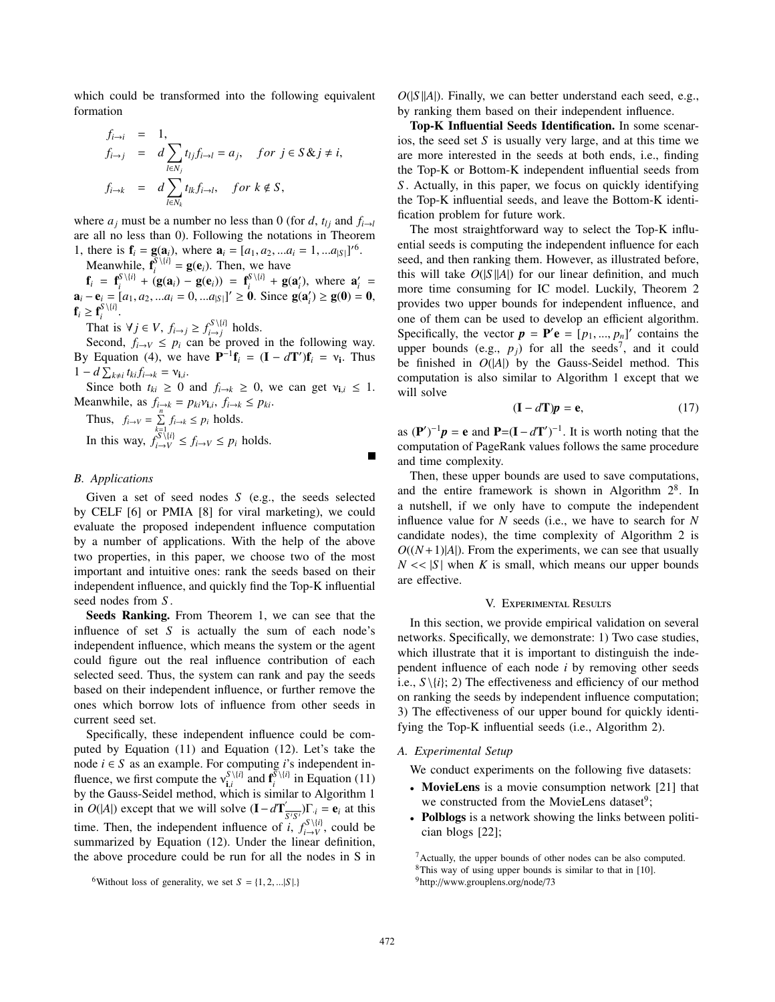which could be transformed into the following equivalent formation

$$
f_{i \to i} = 1,
$$
  
\n
$$
f_{i \to j} = d \sum_{l \in N_j} t_{lj} f_{i \to l} = a_j, \quad \text{for } j \in S \& j \neq i,
$$
  
\n
$$
f_{i \to k} = d \sum_{l \in N_k} t_{lk} f_{i \to l}, \quad \text{for } k \notin S,
$$

where  $a_j$  must be a number no less than 0 (for *d*,  $t_{lj}$  and  $f_{i\rightarrow l}$ are all no less than 0). Following the notations in Theorem 1, there is  $\mathbf{f}_i = \mathbf{g}(\mathbf{a}_i)$ , where  $\mathbf{a}_i = [a_1, a_2, ... a_i = 1, ... a_{|S|}]^{6}$ .

Meanwhile,  $\mathbf{f}_i^{\mathcal{S}\setminus\{i\}} = \mathbf{g}(\mathbf{e}_i)$ . Then, we have

 $f_i = f_i^{S \setminus \{i\}} + (g(a_i) - g(e_i)) = f_i^{S \setminus \{i\}} + g(a'_i)$ , where  $a'_i =$ **a**<sub>*i*</sub> − **e**<sub>*i*</sub> = [*a*<sub>1</sub>, *a*<sub>2</sub>, ...*a*<sub>*i*</sub> = 0, ...*a*<sub>|*S*|</sub>]<sup>'</sup> ≥ **0**. Since **g**(**a**<sup>'</sup><sub>*i*</sub>) ≥ **g**(**0**) = **0**,  $\mathbf{f}_i \geq \mathbf{f}_i^{S \setminus \{i\}}$ .

That is  $\forall j \in V$ ,  $f_{i \to j} \geq f_{i \to j}^{S \setminus \{i\}}$  holds.

Second,  $f_{i\rightarrow V} \leq p_i$  can be proved in the following way. By Equation (4), we have  $\mathbf{P}^{-1}\mathbf{f}_i = (\mathbf{I} - d\mathbf{T}')\mathbf{f}_i = v_i$ . Thus  $1 - d \sum_{k \neq i} t_{ki} f_{i \to k} = v_{i,i}.$ 

Since both  $t_{ki} \geq 0$  and  $f_{i\to k} \geq 0$ , we can get  $v_{i,i} \leq 1$ . Meanwhile, as  $f_{i\to k} = p_{ki}v_{i,i}, f_{i\to k} \leq p_{ki}.$ 

Thus,  $f_{i\rightarrow V} = \sum_{i=1}^{n}$  $\sum_{k=1}$   $f_{i\to k} \leq p_i$  holds. In this way,  $f_{i \to V}^{S \setminus \{i\}} \le f_{i \to V} \le p_i$  holds.

## *B. Applications*

Given a set of seed nodes *S* (e.g., the seeds selected by CELF [6] or PMIA [8] for viral marketing), we could evaluate the proposed independent influence computation by a number of applications. With the help of the above two properties, in this paper, we choose two of the most important and intuitive ones: rank the seeds based on their independent influence, and quickly find the Top-K influential seed nodes from *S* .

**Seeds Ranking.** From Theorem 1, we can see that the influence of set *S* is actually the sum of each node's independent influence, which means the system or the agent could figure out the real influence contribution of each selected seed. Thus, the system can rank and pay the seeds based on their independent influence, or further remove the ones which borrow lots of influence from other seeds in current seed set.

Specifically, these independent influence could be computed by Equation (11) and Equation (12). Let's take the node *i* ∈ *S* as an example. For computing *i*'s independent influence, we first compute the  $v_{i,i}^{S \setminus \{i\}}$  and  $f_i^{\overline{S} \setminus \{i\}}$  in Equation (11) by the Gauss-Seidel method, which is similar to Algorithm 1 in *O*(|*A*|) except that we will solve  $(\mathbf{I} - d\mathbf{T}'_{S/S})\mathbf{F}_{i} = \mathbf{e}_{i}$  at this time. Then, the independent influence of *i*,  $f_{i\to V}^{S\setminus\{i\}}$ , could be summarized by Equation (12). Under the linear definition, the above procedure could be run for all the nodes in S in

 $O(|S||A|)$ . Finally, we can better understand each seed, e.g., by ranking them based on their independent influence.

**Top-K Influential Seeds Identification.** In some scenarios, the seed set *S* is usually very large, and at this time we are more interested in the seeds at both ends, i.e., finding the Top-K or Bottom-K independent influential seeds from *S* . Actually, in this paper, we focus on quickly identifying the Top-K influential seeds, and leave the Bottom-K identification problem for future work.

The most straightforward way to select the Top-K influential seeds is computing the independent influence for each seed, and then ranking them. However, as illustrated before, this will take  $O(|S||A|)$  for our linear definition, and much more time consuming for IC model. Luckily, Theorem 2 provides two upper bounds for independent influence, and one of them can be used to develop an efficient algorithm. Specifically, the vector  $p = P'e = [p_1, ..., p_n]'$  contains the upper bounds (e.g.,  $p_j$ ) for all the seeds<sup>7</sup>, and it could be finished in  $O(|A|)$  by the Gauss-Seidel method. This computation is also similar to Algorithm 1 except that we will solve

$$
(\mathbf{I} - d\mathbf{T})\mathbf{p} = \mathbf{e},\tag{17}
$$

as  $(\mathbf{P}')^{-1}\mathbf{p} = \mathbf{e}$  and  $\mathbf{P} = (\mathbf{I} - d\mathbf{T}')^{-1}$ . It is worth noting that the computation of PageRank values follows the same procedure and time complexity.

Then, these upper bounds are used to save computations, and the entire framework is shown in Algorithm  $2^8$ . In a nutshell, if we only have to compute the independent influence value for *N* seeds (i.e., we have to search for *N* candidate nodes), the time complexity of Algorithm 2 is  $O((N+1)|A|)$ . From the experiments, we can see that usually  $N \ll |S|$  when *K* is small, which means our upper bounds are effective.

### V. Experimental Results

In this section, we provide empirical validation on several networks. Specifically, we demonstrate: 1) Two case studies, which illustrate that it is important to distinguish the independent influence of each node *i* by removing other seeds i.e.,  $S \setminus \{i\}; 2$ ) The effectiveness and efficiency of our method on ranking the seeds by independent influence computation; 3) The effectiveness of our upper bound for quickly identifying the Top-K influential seeds (i.e., Algorithm 2).

### *A. Experimental Setup*

We conduct experiments on the following five datasets:

- **MovieLens** is a movie consumption network [21] that we constructed from the MovieLens dataset<sup>9</sup>;
- **Polblogs** is a network showing the links between politician blogs [22];

<sup>&</sup>lt;sup>6</sup>Without loss of generality, we set  $S = \{1, 2, ...\mid S\}$ .

<sup>7</sup>Actually, the upper bounds of other nodes can be also computed.

<sup>&</sup>lt;sup>8</sup>This way of using upper bounds is similar to that in [10].

<sup>9</sup>http://www.grouplens.org/node/73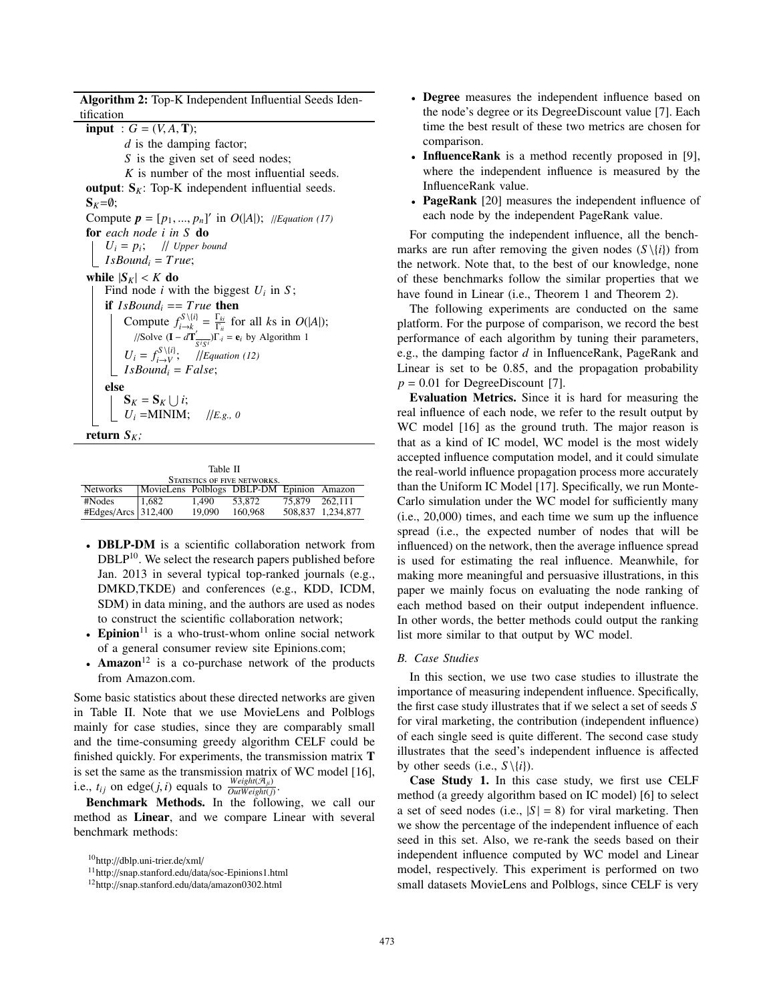**Algorithm 2:** Top-K Independent Influential Seeds Identification

 $i$ **input** :  $G = (V, A, T)$ ; *d* is the damping factor; *S* is the given set of seed nodes; *K* is number of the most influential seeds. **output**:  $S_K$ : Top-K independent influential seeds.  $S_K = \emptyset;$ Compute  $p = [p_1, ..., p_n]'$  in  $O(|A|)$ ; //*Equation* (17) **for** *each node i in S* **do**  $U_i = p_i$ ; // *Upper bound I IsBound<sub>i</sub>* =  $True;$ **while**  $|S_K| < K$  **do** Find node *i* with the biggest  $U_i$  in  $S$ ; **if**  $IsBound_i == True$  **then** Compute  $f_{i\to k}^{S\setminus\{i\}} = \frac{\Gamma_{ki}}{\Gamma_{ii}}$  for all *ks* in *O*(|*A*|);  $\sqrt{\text{Solve}}$  (**I** −  $d\mathbf{T}' \frac{1}{S^i S^i}$ )**Γ**·*i* = **e***i* by Algorithm 1  $U_i = f_{i \to V}^{S \setminus \{i\}}$ ; //*Equation (12)*  $I$ *sBound<sub>i</sub>* = *False*; **else**  $\mathbf{S}_K = \mathbf{S}_K \cup i;$  $U_i =$ **MINIM**; //*E.g.*, 0 **return**  $S_K$ ;

| STATISTICS OF FIVE NETWORKS. |                                           |        |         |                |                   |  |  |  |  |  |
|------------------------------|-------------------------------------------|--------|---------|----------------|-------------------|--|--|--|--|--|
| <b>Networks</b>              | MovieLens Polblogs DBLP-DM Epinion Amazon |        |         |                |                   |  |  |  |  |  |
| #Nodes                       | 1,682                                     | 1.490  | 53.872  | 75.879 262.111 |                   |  |  |  |  |  |
| #Edges/Arcs   312,400        |                                           | 19.090 | 160.968 |                | 508.837 1.234.877 |  |  |  |  |  |

- **DBLP-DM** is a scientific collaboration network from  $DBLP<sup>10</sup>$ . We select the research papers published before Jan. 2013 in several typical top-ranked journals (e.g., DMKD,TKDE) and conferences (e.g., KDD, ICDM, SDM) in data mining, and the authors are used as nodes to construct the scientific collaboration network;
- **Epinion**<sup>11</sup> is a who-trust-whom online social network of a general consumer review site Epinions.com;
- **Amazon**<sup>12</sup> is a co-purchase network of the products from Amazon.com.

Some basic statistics about these directed networks are given in Table II. Note that we use MovieLens and Polblogs mainly for case studies, since they are comparably small and the time-consuming greedy algorithm CELF could be finished quickly. For experiments, the transmission matrix **T** is set the same as the transmission matrix of WC model [16], i.e.,  $t_{ij}$  on edge(*j*, *i*) equals to  $\frac{Weight(\mathcal{A}_{ji})}{Output(j)}$ .

**Benchmark Methods.** In the following, we call our method as **Linear**, and we compare Linear with several benchmark methods:

- **Degree** measures the independent influence based on the node's degree or its DegreeDiscount value [7]. Each time the best result of these two metrics are chosen for comparison.
- **InfluenceRank** is a method recently proposed in [9], where the independent influence is measured by the InfluenceRank value.
- **PageRank** [20] measures the independent influence of each node by the independent PageRank value.

For computing the independent influence, all the benchmarks are run after removing the given nodes  $(S \setminus \{i\})$  from the network. Note that, to the best of our knowledge, none of these benchmarks follow the similar properties that we have found in Linear (i.e., Theorem 1 and Theorem 2).

The following experiments are conducted on the same platform. For the purpose of comparison, we record the best performance of each algorithm by tuning their parameters, e.g., the damping factor *d* in InfluenceRank, PageRank and Linear is set to be 0.85, and the propagation probability  $p = 0.01$  for DegreeDiscount [7].

**Evaluation Metrics.** Since it is hard for measuring the real influence of each node, we refer to the result output by WC model [16] as the ground truth. The major reason is that as a kind of IC model, WC model is the most widely accepted influence computation model, and it could simulate the real-world influence propagation process more accurately than the Uniform IC Model [17]. Specifically, we run Monte-Carlo simulation under the WC model for sufficiently many (i.e., 20,000) times, and each time we sum up the influence spread (i.e., the expected number of nodes that will be influenced) on the network, then the average influence spread is used for estimating the real influence. Meanwhile, for making more meaningful and persuasive illustrations, in this paper we mainly focus on evaluating the node ranking of each method based on their output independent influence. In other words, the better methods could output the ranking list more similar to that output by WC model.

### *B. Case Studies*

In this section, we use two case studies to illustrate the importance of measuring independent influence. Specifically, the first case study illustrates that if we select a set of seeds *S* for viral marketing, the contribution (independent influence) of each single seed is quite different. The second case study illustrates that the seed's independent influence is affected by other seeds (i.e.,  $S \setminus \{i\}$ ).

**Case Study 1.** In this case study, we first use CELF method (a greedy algorithm based on IC model) [6] to select a set of seed nodes (i.e.,  $|S| = 8$ ) for viral marketing. Then we show the percentage of the independent influence of each seed in this set. Also, we re-rank the seeds based on their independent influence computed by WC model and Linear model, respectively. This experiment is performed on two small datasets MovieLens and Polblogs, since CELF is very

 $10$ http://dblp.uni-trier.de/xml/

<sup>11</sup>http://snap.stanford.edu/data/soc-Epinions1.html

<sup>12</sup>http://snap.stanford.edu/data/amazon0302.html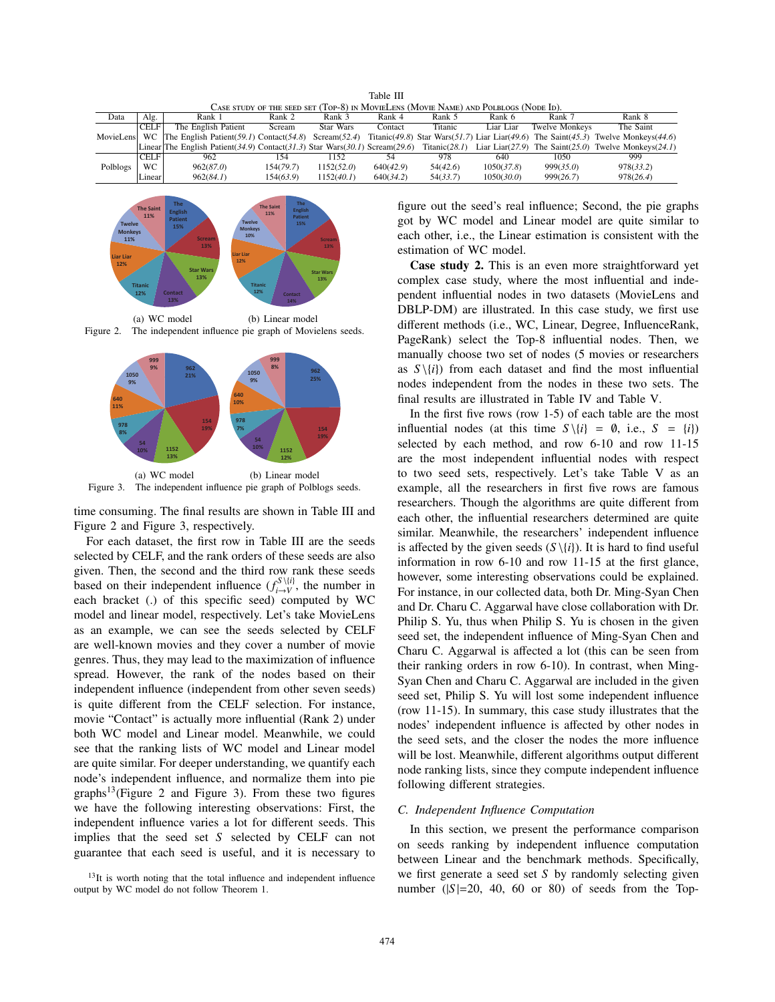|                                                                                      | Table III   |                                                                                                          |           |            |           |          |            |                |                                                                                    |  |  |
|--------------------------------------------------------------------------------------|-------------|----------------------------------------------------------------------------------------------------------|-----------|------------|-----------|----------|------------|----------------|------------------------------------------------------------------------------------|--|--|
| CASE STUDY OF THE SEED SET (TOP-8) IN MOVIELENS (MOVIE NAME) AND POLBLOGS (NODE ID). |             |                                                                                                          |           |            |           |          |            |                |                                                                                    |  |  |
| Data                                                                                 | Alg.        | Rank 1                                                                                                   | Rank 2    | Rank 3     | Rank 4    | Rank 5   | Rank 6     | Rank 7         | Rank 8                                                                             |  |  |
|                                                                                      | <b>CELF</b> | The English Patient                                                                                      | Scream    | Star Wars  | Contact   | Titanic  | Liar Liar  | Twelve Monkeys | The Saint                                                                          |  |  |
| MovieLens WC                                                                         |             | The English Patient(59.1) Contact(54.8) Scream(52.4)                                                     |           |            |           |          |            |                | Titanic(49.8) Star Wars(51.7) Liar Liar(49.6) The Saint(45.3) Twelve Monkeys(44.6) |  |  |
|                                                                                      |             | Linear The English Patient $(34.9)$ Contact $(31.3)$ Star Wars $(30.1)$ Scream $(29.6)$ Titanic $(28.1)$ |           |            |           |          |            |                | Liar Liar(27.9) The Saint(25.0) Twelve Monkeys(24.1)                               |  |  |
|                                                                                      | <b>CELF</b> | 962                                                                                                      | 154       | 1152       | 54        | 978      | 640        | 1050           | 999                                                                                |  |  |
| Polblogs                                                                             | WC.         | 962(87.0)                                                                                                | 154(79.7) | 1152(52.0) | 640(42.9) | 54(42.6) | 1050(37.8) | 999(35.0)      | 978(33.2)                                                                          |  |  |
|                                                                                      | Linear      | 962(84.1)                                                                                                | 154(63.9) | 1152(40.1) | 640(34.2) | 54(33.7) | 1050(30.0) | 999(26.7)      | 978(26.4)                                                                          |  |  |



(a) WC model (b) Linear model Figure 2. The independent influence pie graph of Movielens seeds.



time consuming. The final results are shown in Table III and Figure 2 and Figure 3, respectively.

For each dataset, the first row in Table III are the seeds selected by CELF, and the rank orders of these seeds are also given. Then, the second and the third row rank these seeds based on their independent influence  $(f_{i\to V}^{S\setminus\{i\}})$ , the number in each bracket (.) of this specific seed) computed by WC model and linear model, respectively. Let's take MovieLens as an example, we can see the seeds selected by CELF are well-known movies and they cover a number of movie genres. Thus, they may lead to the maximization of influence spread. However, the rank of the nodes based on their independent influence (independent from other seven seeds) is quite different from the CELF selection. For instance, movie "Contact" is actually more influential (Rank 2) under both WC model and Linear model. Meanwhile, we could see that the ranking lists of WC model and Linear model are quite similar. For deeper understanding, we quantify each node's independent influence, and normalize them into pie  $graphs<sup>13</sup>$ (Figure 2 and Figure 3). From these two figures we have the following interesting observations: First, the independent influence varies a lot for different seeds. This implies that the seed set *S* selected by CELF can not guarantee that each seed is useful, and it is necessary to figure out the seed's real influence; Second, the pie graphs got by WC model and Linear model are quite similar to each other, i.e., the Linear estimation is consistent with the estimation of WC model.

**Case study 2.** This is an even more straightforward yet complex case study, where the most influential and independent influential nodes in two datasets (MovieLens and DBLP-DM) are illustrated. In this case study, we first use different methods (i.e., WC, Linear, Degree, InfluenceRank, PageRank) select the Top-8 influential nodes. Then, we manually choose two set of nodes (5 movies or researchers as  $S \setminus \{i\}$  from each dataset and find the most influential nodes independent from the nodes in these two sets. The final results are illustrated in Table IV and Table V.

In the first five rows (row 1-5) of each table are the most influential nodes (at this time  $S \setminus \{i\} = \emptyset$ , i.e.,  $S = \{i\}$ ) selected by each method, and row 6-10 and row 11-15 are the most independent influential nodes with respect to two seed sets, respectively. Let's take Table V as an example, all the researchers in first five rows are famous researchers. Though the algorithms are quite different from each other, the influential researchers determined are quite similar. Meanwhile, the researchers' independent influence is affected by the given seeds  $(S \setminus \{i\})$ . It is hard to find useful information in row 6-10 and row 11-15 at the first glance, however, some interesting observations could be explained. For instance, in our collected data, both Dr. Ming-Syan Chen and Dr. Charu C. Aggarwal have close collaboration with Dr. Philip S. Yu, thus when Philip S. Yu is chosen in the given seed set, the independent influence of Ming-Syan Chen and Charu C. Aggarwal is affected a lot (this can be seen from their ranking orders in row 6-10). In contrast, when Ming-Syan Chen and Charu C. Aggarwal are included in the given seed set, Philip S. Yu will lost some independent influence (row 11-15). In summary, this case study illustrates that the nodes' independent influence is affected by other nodes in the seed sets, and the closer the nodes the more influence will be lost. Meanwhile, different algorithms output different node ranking lists, since they compute independent influence following different strategies.

#### *C. Independent Influence Computation*

In this section, we present the performance comparison on seeds ranking by independent influence computation between Linear and the benchmark methods. Specifically, we first generate a seed set *S* by randomly selecting given number  $(|S|=20, 40, 60$  or 80) of seeds from the Top-

<sup>&</sup>lt;sup>13</sup>It is worth noting that the total influence and independent influence output by WC model do not follow Theorem 1.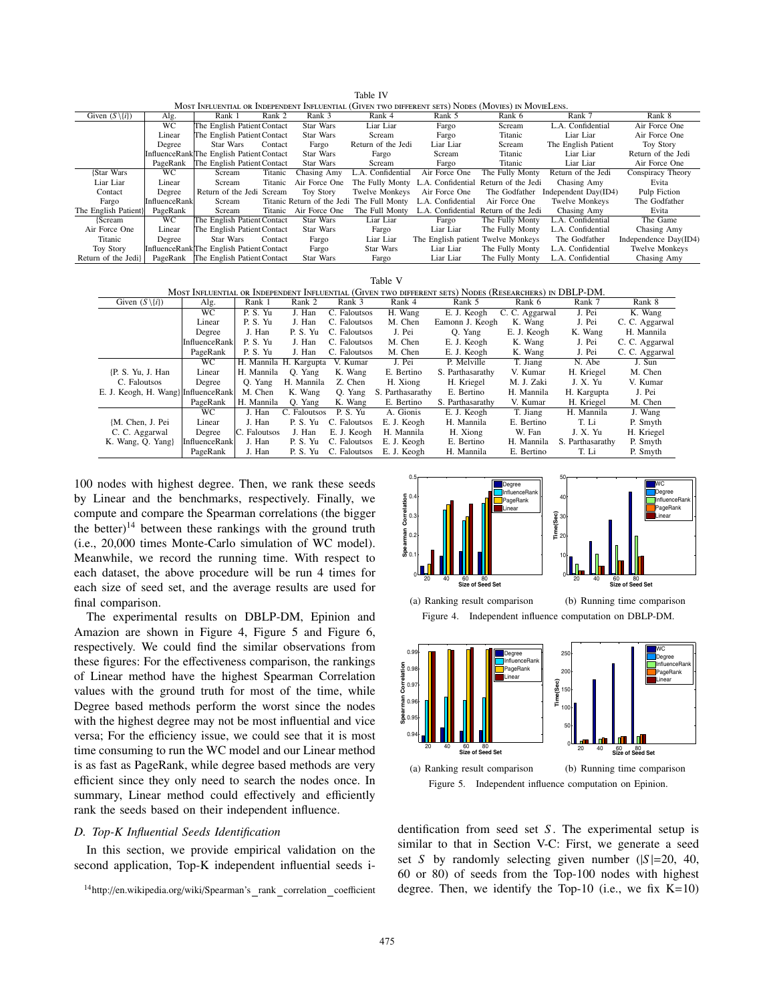| MOST INFLUENTIAL OR INDEPENDENT INFLUENTIAL (GIVEN TWO DIFFERENT SETS) NODES (MOVIES) IN MOVIELENS. |                 |                                           |         |                            |                       |                                    |                                      |                       |                       |  |
|-----------------------------------------------------------------------------------------------------|-----------------|-------------------------------------------|---------|----------------------------|-----------------------|------------------------------------|--------------------------------------|-----------------------|-----------------------|--|
| Given $(S \setminus \{i\})$                                                                         | Alg.            | Rank 1                                    | Rank 2  | Rank 3                     | Rank 4                | Rank 5                             | Rank 6                               | Rank 7                | Rank 8                |  |
|                                                                                                     | $\overline{WC}$ | The English Patient Contact               |         | <b>Star Wars</b>           | Liar Liar             | Fargo                              | Scream                               | L.A. Confidential     | Air Force One         |  |
|                                                                                                     | Linear          | The English Patient Contact               |         | Star Wars                  | Scream                | Fargo                              | Titanic                              | Liar Liar             | Air Force One         |  |
|                                                                                                     | Degree          | Star Wars                                 | Contact | Fargo                      | Return of the Jedi    | Liar Liar                          | Scream                               | The English Patient   | <b>Toy Story</b>      |  |
|                                                                                                     |                 | InfluenceRanklThe English Patient Contact |         | Star Wars                  | Fargo                 | Scream                             | Titanic                              | Liar Liar             | Return of the Jedi    |  |
|                                                                                                     | PageRank        | The English Patient Contact               |         | Star Wars                  | Scream                | Fargo                              | Titanic                              | Liar Liar             | Air Force One         |  |
| {Star Wars                                                                                          | WC.             | Scream                                    | Titanic | Chasing Amy                | L.A. Confidential     | Air Force One                      | The Fully Monty                      | Return of the Jedi    | Conspiracy Theory     |  |
| Liar Liar                                                                                           | Linear          | Scream                                    | Titanic | Air Force One              | The Fully Monty       | L.A. Confidential                  | Return of the Jedi                   | Chasing Amy           | Evita                 |  |
| Contact                                                                                             | Degree          | Return of the Jedi Scream                 |         | <b>Toy Story</b>           | <b>Twelve Monkeys</b> | Air Force One                      | The Godfather                        | Independent Day(ID4)  | Pulp Fiction          |  |
| Fargo                                                                                               | InfluenceRank   | Scream                                    |         | Titanic Return of the Jedi | The Full Monty        | L.A. Confidential                  | Air Force One                        | <b>Twelve Monkeys</b> | The Godfather         |  |
| The English Patient}                                                                                | PageRank        | Scream                                    | Titanic | Air Force One              | The Full Monty        |                                    | L.A. Confidential Return of the Jedi | Chasing Amy           | Evita                 |  |
| {Scream                                                                                             | WC.             | The English Patient Contact               |         | Star Wars                  | Liar Liar             | Fargo                              | The Fully Monty                      | L.A. Confidential     | The Game              |  |
| Air Force One                                                                                       | Linear          | The English Patient Contact               |         | Star Wars                  | Fargo                 | Liar Liar                          | The Fully Monty                      | L.A. Confidential     | Chasing Amy           |  |
| Titanic                                                                                             | Degree          | Star Wars                                 | Contact | Fargo                      | Liar Liar             | The English patient Twelve Monkeys |                                      | The Godfather         | Independence Day(ID4) |  |
| <b>Toy Story</b>                                                                                    |                 | InfluenceRankThe English Patient Contact  |         | Fargo                      | Star Wars             | Liar Liar                          | The Fully Monty                      | L.A. Confidential     | Twelve Monkeys        |  |
| Return of the Jedil                                                                                 |                 | PageRank The English Patient Contact      |         | Star Wars                  | Fargo                 | Liar Liar                          | The Fully Monty                      | L.A. Confidential     | Chasing Amy           |  |

Table IV

| Table V                                                                                                |               |              |                        |              |                  |                  |                |                  |                |  |  |
|--------------------------------------------------------------------------------------------------------|---------------|--------------|------------------------|--------------|------------------|------------------|----------------|------------------|----------------|--|--|
| MOST INFLUENTIAL OR INDEPENDENT INFLUENTIAL (GIVEN TWO DIFFERENT SETS) NODES (RESEARCHERS) IN DBLP-DM. |               |              |                        |              |                  |                  |                |                  |                |  |  |
| Given $(S \setminus \{i\})$                                                                            | Alg.          | Rank 1       | Rank 2                 | Rank 3       | Rank 4           | Rank 5           | Rank 6         | Rank 7           | Rank 8         |  |  |
|                                                                                                        | WС            | P.S.Yu       | J. Han                 | C. Faloutsos | H. Wang          | E. J. Keogh      | C. C. Aggarwal | J. Pei           | K. Wang        |  |  |
|                                                                                                        | Linear        | P.S.Yu       | J. Han                 | C. Faloutsos | M. Chen          | Eamonn J. Keogh  | K. Wang        | J. Pei           | C. C. Aggarwal |  |  |
|                                                                                                        | Degree        | J. Han       | P.S.Yu                 | C. Faloutsos | J. Pei           | O. Yang          | E. J. Keogh    | K. Wang          | H. Mannila     |  |  |
|                                                                                                        | InfluenceRank | P.S.Yu       | J. Han                 | C. Faloutsos | M. Chen          | E. J. Keogh      | K. Wang        | J. Pei           | C. C. Aggarwal |  |  |
|                                                                                                        | PageRank      | P.S.Yu       | J. Han                 | C. Faloutsos | M. Chen          | E. J. Keogh      | K. Wang        | J. Pei           | C. C. Aggarwal |  |  |
|                                                                                                        | WC.           |              | H. Mannila H. Kargupta | V. Kumar     | J. Pei           | P. Melville      | T. Jiang       | N. Abe           | J. Sun         |  |  |
| {P. S. Yu, J. Han                                                                                      | Linear        | H. Mannila   | O. Yang                | K. Wang      | E. Bertino       | S. Parthasarathy | V. Kumar       | H. Kriegel       | M. Chen        |  |  |
| C. Faloutsos                                                                                           | Degree        | O. Yang      | H. Mannila             | Z. Chen      | H. Xiong         | H. Kriegel       | M. J. Zaki     | J. X. Yu         | V. Kumar       |  |  |
| E. J. Keogh, H. Wang} InfluenceRank                                                                    |               | M. Chen      | K. Wang                | O. Yang      | S. Parthasarathy | E. Bertino       | H. Mannila     | H. Kargupta      | J. Pei         |  |  |
|                                                                                                        | PageRank      | H. Mannila   | O. Yang                | K. Wang      | E. Bertino       | S. Parthasarathy | V. Kumar       | H. Kriegel       | M. Chen        |  |  |
|                                                                                                        | WС            | J. Han       | C. Faloutsos           | P.S. Yu      | A. Gionis        | E. J. Keogh      | T. Jiang       | H. Mannila       | J. Wang        |  |  |
| {M. Chen, J. Pei                                                                                       | Linear        | J. Han       | P.S.Yu                 | C. Faloutsos | E. J. Keogh      | H. Mannila       | E. Bertino     | T. Li            | P. Smyth       |  |  |
| C. C. Aggarwal                                                                                         | Degree        | C. Faloutsos | J. Han                 | E. J. Keogh  | H. Mannila       | H. Xiong         | W. Fan         | J. X. Yu         | H. Kriegel     |  |  |
| K. Wang, Q. Yang}                                                                                      | InfluenceRank | J. Han       | P.S.Yu                 | C. Faloutsos | E. J. Keogh      | E. Bertino       | H. Mannila     | S. Parthasarathy | P. Smyth       |  |  |
|                                                                                                        | PageRank      | J. Han       | P.S.Yu                 | C. Faloutsos | E. J. Keogh      | H. Mannila       | E. Bertino     | T. Li            | P. Smyth       |  |  |

100 nodes with highest degree. Then, we rank these seeds by Linear and the benchmarks, respectively. Finally, we compute and compare the Spearman correlations (the bigger the better) $14$  between these rankings with the ground truth (i.e., 20,000 times Monte-Carlo simulation of WC model). Meanwhile, we record the running time. With respect to each dataset, the above procedure will be run 4 times for each size of seed set, and the average results are used for final comparison.

The experimental results on DBLP-DM, Epinion and Amazion are shown in Figure 4, Figure 5 and Figure 6, respectively. We could find the similar observations from these figures: For the effectiveness comparison, the rankings of Linear method have the highest Spearman Correlation values with the ground truth for most of the time, while Degree based methods perform the worst since the nodes with the highest degree may not be most influential and vice versa; For the efficiency issue, we could see that it is most time consuming to run the WC model and our Linear method is as fast as PageRank, while degree based methods are very efficient since they only need to search the nodes once. In summary, Linear method could effectively and efficiently rank the seeds based on their independent influence.

### *D. Top-K Influential Seeds Identification*

In this section, we provide empirical validation on the second application, Top-K independent influential seeds i-







dentification from seed set *S*. The experimental setup is similar to that in Section V-C: First, we generate a seed set *S* by randomly selecting given number  $(|S|=20, 40,$ 60 or 80) of seeds from the Top-100 nodes with highest degree. Then, we identify the Top-10 (i.e., we fix  $K=10$ )

<sup>&</sup>lt;sup>14</sup>http://en.wikipedia.org/wiki/Spearman's\_rank\_correlation\_coefficient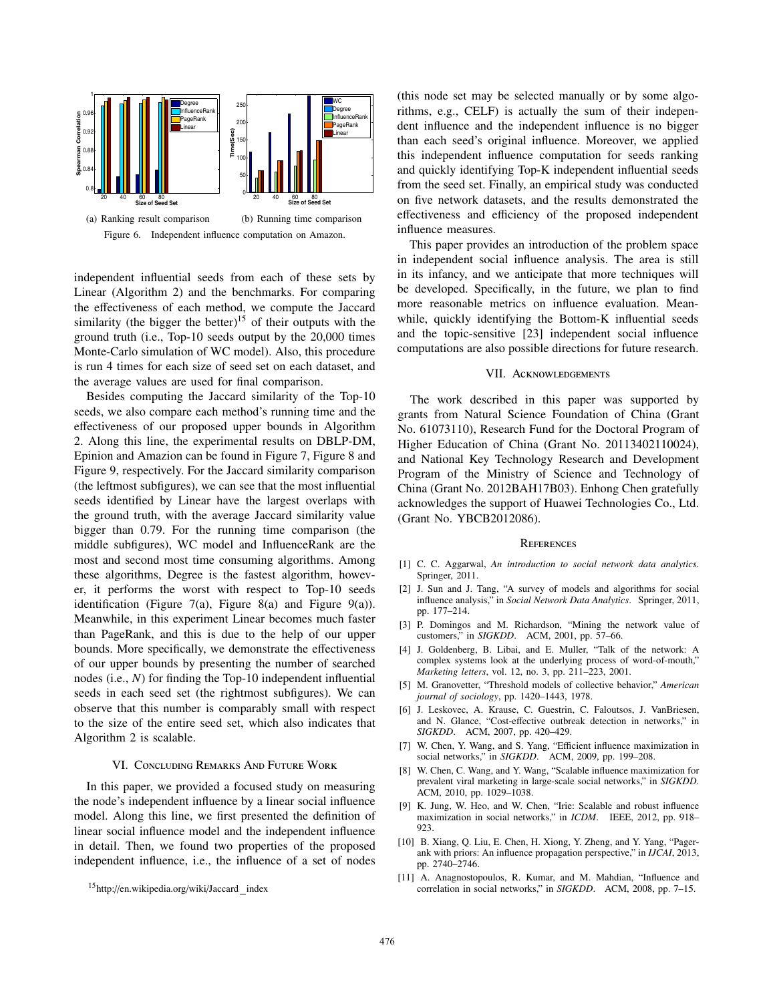

independent influential seeds from each of these sets by Linear (Algorithm 2) and the benchmarks. For comparing the effectiveness of each method, we compute the Jaccard similarity (the bigger the better)<sup>15</sup> of their outputs with the ground truth (i.e., Top-10 seeds output by the 20,000 times Monte-Carlo simulation of WC model). Also, this procedure is run 4 times for each size of seed set on each dataset, and the average values are used for final comparison.

Besides computing the Jaccard similarity of the Top-10 seeds, we also compare each method's running time and the effectiveness of our proposed upper bounds in Algorithm 2. Along this line, the experimental results on DBLP-DM, Epinion and Amazion can be found in Figure 7, Figure 8 and Figure 9, respectively. For the Jaccard similarity comparison (the leftmost subfigures), we can see that the most influential seeds identified by Linear have the largest overlaps with the ground truth, with the average Jaccard similarity value bigger than 0.79. For the running time comparison (the middle subfigures), WC model and InfluenceRank are the most and second most time consuming algorithms. Among these algorithms, Degree is the fastest algorithm, however, it performs the worst with respect to Top-10 seeds identification (Figure 7(a), Figure 8(a) and Figure 9(a)). Meanwhile, in this experiment Linear becomes much faster than PageRank, and this is due to the help of our upper bounds. More specifically, we demonstrate the effectiveness of our upper bounds by presenting the number of searched nodes (i.e., *N*) for finding the Top-10 independent influential seeds in each seed set (the rightmost subfigures). We can observe that this number is comparably small with respect to the size of the entire seed set, which also indicates that Algorithm 2 is scalable.

### VI. Concluding Remarks And Future Work

In this paper, we provided a focused study on measuring the node's independent influence by a linear social influence model. Along this line, we first presented the definition of linear social influence model and the independent influence in detail. Then, we found two properties of the proposed independent influence, i.e., the influence of a set of nodes

(this node set may be selected manually or by some algorithms, e.g., CELF) is actually the sum of their independent influence and the independent influence is no bigger than each seed's original influence. Moreover, we applied this independent influence computation for seeds ranking and quickly identifying Top-K independent influential seeds from the seed set. Finally, an empirical study was conducted on five network datasets, and the results demonstrated the effectiveness and efficiency of the proposed independent influence measures.

This paper provides an introduction of the problem space in independent social influence analysis. The area is still in its infancy, and we anticipate that more techniques will be developed. Specifically, in the future, we plan to find more reasonable metrics on influence evaluation. Meanwhile, quickly identifying the Bottom-K influential seeds and the topic-sensitive [23] independent social influence computations are also possible directions for future research.

### VII. Acknowledgements

The work described in this paper was supported by grants from Natural Science Foundation of China (Grant No. 61073110), Research Fund for the Doctoral Program of Higher Education of China (Grant No. 20113402110024), and National Key Technology Research and Development Program of the Ministry of Science and Technology of China (Grant No. 2012BAH17B03). Enhong Chen gratefully acknowledges the support of Huawei Technologies Co., Ltd. (Grant No. YBCB2012086).

#### **REFERENCES**

- [1] C. C. Aggarwal, *An introduction to social network data analytics*. Springer, 2011.
- [2] J. Sun and J. Tang, "A survey of models and algorithms for social influence analysis," in *Social Network Data Analytics*. Springer, 2011, pp. 177–214.
- [3] P. Domingos and M. Richardson, "Mining the network value of customers," in *SIGKDD*. ACM, 2001, pp. 57–66.
- [4] J. Goldenberg, B. Libai, and E. Muller, "Talk of the network: A complex systems look at the underlying process of word-of-mouth," *Marketing letters*, vol. 12, no. 3, pp. 211–223, 2001.
- [5] M. Granovetter, "Threshold models of collective behavior," *American journal of sociology*, pp. 1420–1443, 1978.
- [6] J. Leskovec, A. Krause, C. Guestrin, C. Faloutsos, J. VanBriesen, and N. Glance, "Cost-effective outbreak detection in networks," in *SIGKDD*. ACM, 2007, pp. 420–429.
- [7] W. Chen, Y. Wang, and S. Yang, "Efficient influence maximization in social networks," in *SIGKDD*. ACM, 2009, pp. 199–208.
- [8] W. Chen, C. Wang, and Y. Wang, "Scalable influence maximization for prevalent viral marketing in large-scale social networks," in *SIGKDD*. ACM, 2010, pp. 1029–1038.
- [9] K. Jung, W. Heo, and W. Chen, "Irie: Scalable and robust influence maximization in social networks," in *ICDM*. IEEE, 2012, pp. 918– 923.
- [10] B. Xiang, Q. Liu, E. Chen, H. Xiong, Y. Zheng, and Y. Yang, "Pagerank with priors: An influence propagation perspective," in *IJCAI*, 2013, pp. 2740–2746.
- [11] A. Anagnostopoulos, R. Kumar, and M. Mahdian, "Influence and correlation in social networks," in *SIGKDD*. ACM, 2008, pp. 7–15.

<sup>15</sup>http://en.wikipedia.org/wiki/Jaccard index